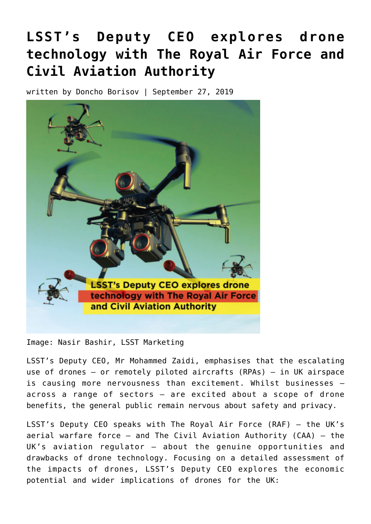# **[LSST's Deputy CEO explores drone](https://testing.lsst.ac/news/drones_raf_caa/) [technology with The Royal Air Force and](https://testing.lsst.ac/news/drones_raf_caa/) [Civil Aviation Authority](https://testing.lsst.ac/news/drones_raf_caa/)**

written by Doncho Borisov | September 27, 2019



Image: Nasir Bashir, LSST Marketing

LSST's Deputy CEO, Mr Mohammed Zaidi, emphasises that the escalating use of drones – or remotely piloted aircrafts (RPAs) – in UK airspace is causing more nervousness than excitement. Whilst businesses – across a range of sectors – are excited about a scope of drone benefits, the general public remain nervous about safety and privacy.

LSST's Deputy CEO speaks with The Royal Air Force (RAF) – the UK's aerial warfare force – and The Civil Aviation Authority (CAA) – the UK's aviation regulator – about the genuine opportunities and drawbacks of drone technology. Focusing on a detailed assessment of the impacts of drones, LSST's Deputy CEO explores the economic potential and wider implications of drones for the UK: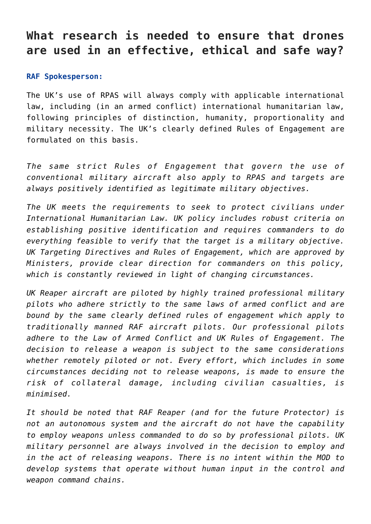## **What research is needed to ensure that drones are used in an effective, ethical and safe way?**

#### **RAF Spokesperson:**

The UK's use of RPAS will always comply with applicable international law, including (in an armed conflict) international humanitarian law, following principles of distinction, humanity, proportionality and military necessity. The UK's clearly defined Rules of Engagement are formulated on this basis.

*The same strict Rules of Engagement that govern the use of conventional military aircraft also apply to RPAS and targets are always positively identified as legitimate military objectives.*

*The UK meets the requirements to seek to protect civilians under International Humanitarian Law. UK policy includes robust criteria on establishing positive identification and requires commanders to do everything feasible to verify that the target is a military objective. UK Targeting Directives and Rules of Engagement, which are approved by Ministers, provide clear direction for commanders on this policy, which is constantly reviewed in light of changing circumstances.*

*UK Reaper aircraft are piloted by highly trained professional military pilots who adhere strictly to the same laws of armed conflict and are bound by the same clearly defined rules of engagement which apply to traditionally manned RAF aircraft pilots. Our professional pilots adhere to the Law of Armed Conflict and UK Rules of Engagement. The decision to release a weapon is subject to the same considerations whether remotely piloted or not. Every effort, which includes in some circumstances deciding not to release weapons, is made to ensure the risk of collateral damage, including civilian casualties, is minimised.*

*It should be noted that RAF Reaper (and for the future Protector) is not an autonomous system and the aircraft do not have the capability to employ weapons unless commanded to do so by professional pilots. UK military personnel are always involved in the decision to employ and in the act of releasing weapons. There is no intent within the MOD to develop systems that operate without human input in the control and weapon command chains.*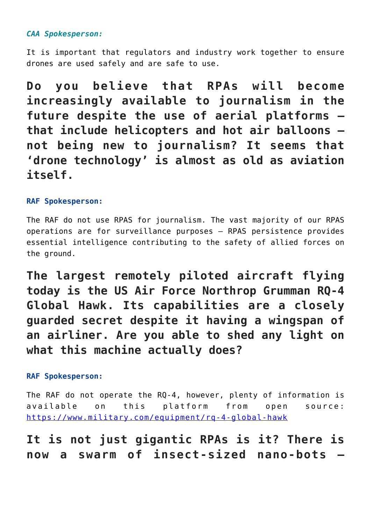### *CAA Spokesperson:*

It is important that regulators and industry work together to ensure drones are used safely and are safe to use.

**Do you believe that RPAs will become increasingly available to journalism in the future despite the use of aerial platforms – that include helicopters and hot air balloons – not being new to journalism? It seems that 'drone technology' is almost as old as aviation itself.**

#### **RAF Spokesperson:**

The RAF do not use RPAS for journalism. The vast majority of our RPAS operations are for surveillance purposes – RPAS persistence provides essential intelligence contributing to the safety of allied forces on the ground.

**The largest remotely piloted aircraft flying today is the US Air Force Northrop Grumman RQ-4 Global Hawk. Its capabilities are a closely guarded secret despite it having a wingspan of an airliner. Are you able to shed any light on what this machine actually does?**

### **RAF Spokesperson:**

The RAF do not operate the RQ-4, however, plenty of information is available on this platform from open source: <https://www.military.com/equipment/rq-4-global-hawk>

**It is not just gigantic RPAs is it? There is now a swarm of insect-sized nano-bots –**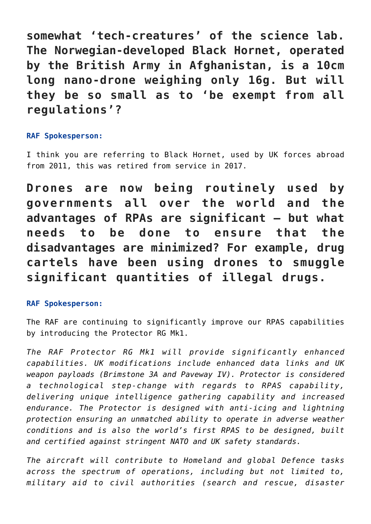**somewhat 'tech-creatures' of the science lab. The Norwegian-developed Black Hornet, operated by the British Army in Afghanistan, is a 10cm long nano-drone weighing only 16g. But will they be so small as to 'be exempt from all regulations'?**

### **RAF Spokesperson:**

I think you are referring to Black Hornet, used by UK forces abroad from 2011, this was retired from service in 2017.

**Drones are now being routinely used by governments all over the world and the advantages of RPAs are significant – but what needs to be done to ensure that the disadvantages are minimized? For example, drug cartels have been using drones to smuggle significant quantities of illegal drugs.**

### **RAF Spokesperson:**

The RAF are continuing to significantly improve our RPAS capabilities by introducing the Protector RG Mk1.

*The RAF Protector RG Mk1 will provide significantly enhanced capabilities. UK modifications include enhanced data links and UK weapon payloads (Brimstone 3A and Paveway IV). Protector is considered a technological step-change with regards to RPAS capability, delivering unique intelligence gathering capability and increased endurance. The Protector is designed with anti-icing and lightning protection ensuring an unmatched ability to operate in adverse weather conditions and is also the world's first RPAS to be designed, built and certified against stringent NATO and UK safety standards.*

*The aircraft will contribute to Homeland and global Defence tasks across the spectrum of operations, including but not limited to, military aid to civil authorities (search and rescue, disaster*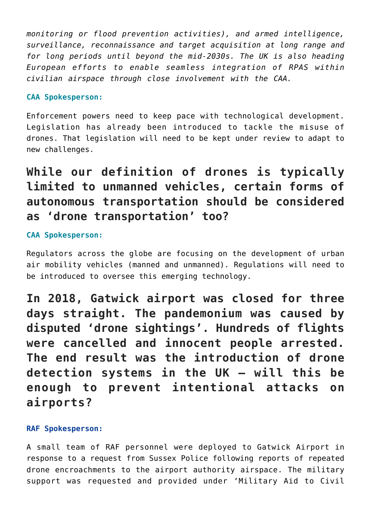*monitoring or flood prevention activities), and armed intelligence, surveillance, reconnaissance and target acquisition at long range and for long periods until beyond the mid-2030s. The UK is also heading European efforts to enable seamless integration of RPAS within civilian airspace through close involvement with the CAA.*

#### **CAA Spokesperson:**

Enforcement powers need to keep pace with technological development. Legislation has already been introduced to tackle the misuse of drones. That legislation will need to be kept under review to adapt to new challenges.

# **While our definition of drones is typically limited to unmanned vehicles, certain forms of autonomous transportation should be considered as 'drone transportation' too?**

### **CAA Spokesperson:**

Regulators across the globe are focusing on the development of urban air mobility vehicles (manned and unmanned). Regulations will need to be introduced to oversee this emerging technology.

**In 2018, Gatwick airport was closed for three days straight. The pandemonium was caused by disputed 'drone sightings'. Hundreds of flights were cancelled and innocent people arrested. The end result was the introduction of drone detection systems in the UK – will this be enough to prevent intentional attacks on airports?**

#### **RAF Spokesperson:**

A small team of RAF personnel were deployed to Gatwick Airport in response to a request from Sussex Police following reports of repeated drone encroachments to the airport authority airspace. The military support was requested and provided under 'Military Aid to Civil